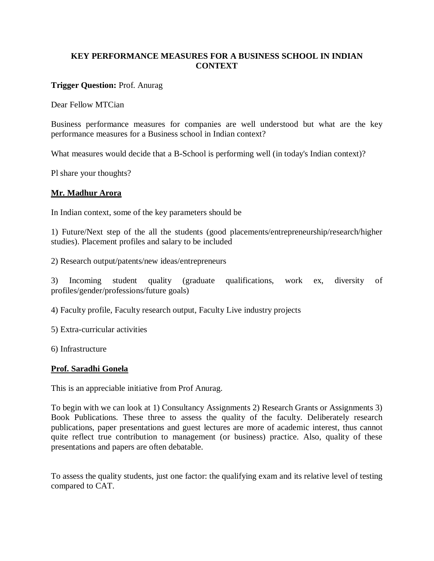# **KEY PERFORMANCE MEASURES FOR A BUSINESS SCHOOL IN INDIAN CONTEXT**

## **Trigger Question:** Prof. Anurag

Dear Fellow MTCian

Business performance measures for companies are well understood but what are the key performance measures for a Business school in Indian context?

What measures would decide that a B-School is performing well (in today's Indian context)?

Pl share your thoughts?

## **Mr. Madhur Arora**

In Indian context, some of the key parameters should be

1) Future/Next step of the all the students (good placements/entrepreneurship/research/higher studies). Placement profiles and salary to be included

2) Research output/patents/new ideas/entrepreneurs

3) Incoming student quality (graduate qualifications, work ex, diversity of profiles/gender/professions/future goals)

4) Faculty profile, Faculty research output, Faculty Live industry projects

5) Extra-curricular activities

6) Infrastructure

#### **Prof. Saradhi Gonela**

This is an appreciable initiative from Prof Anurag.

To begin with we can look at 1) Consultancy Assignments 2) Research Grants or Assignments 3) Book Publications. These three to assess the quality of the faculty. Deliberately research publications, paper presentations and guest lectures are more of academic interest, thus cannot quite reflect true contribution to management (or business) practice. Also, quality of these presentations and papers are often debatable.

To assess the quality students, just one factor: the qualifying exam and its relative level of testing compared to CAT.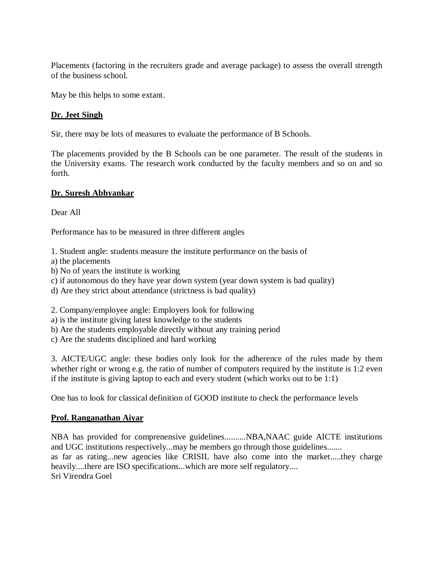Placements (factoring in the recruiters grade and average package) to assess the overall strength of the business school.

May be this helps to some extant.

# **Dr. Jeet Singh**

Sir, there may be lots of measures to evaluate the performance of B Schools.

The placements provided by the B Schools can be one parameter. The result of the students in the University exams. The research work conducted by the faculty members and so on and so forth.

## **Dr. Suresh Abhyankar**

Dear All

Performance has to be measured in three different angles

1. Student angle: students measure the institute performance on the basis of

- a) the placements
- b) No of years the institute is working
- c) if autonomous do they have year down system (year down system is bad quality)
- d) Are they strict about attendance (strictness is bad quality)

2. Company/employee angle: Employers look for following

- a) is the institute giving latest knowledge to the students
- b) Are the students employable directly without any training period
- c) Are the students disciplined and hard working

3. AICTE/UGC angle: these bodies only look for the adherence of the rules made by them whether right or wrong e.g. the ratio of number of computers required by the institute is 1:2 even if the institute is giving laptop to each and every student (which works out to be 1:1)

One has to look for classical definition of GOOD institute to check the performance levels

# **Prof. Ranganathan Aiyar**

NBA has provided for comprenensive guidelines..........NBA,NAAC guide AICTE institutions and UGC institutions respectively...may be members go through those guidelines....... as far as rating...new agencies like CRISIL have also come into the market.....they charge heavily....there are ISO specifications...which are more self regulatory.... Sri Virendra Goel